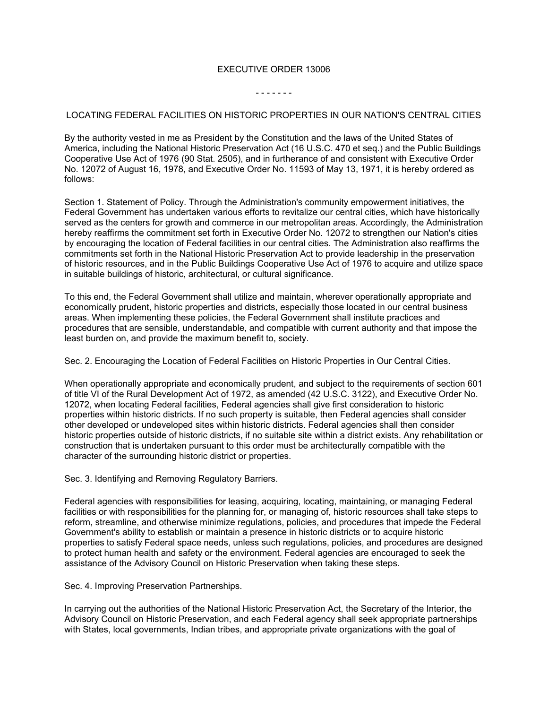## EXECUTIVE ORDER 13006

## - - - - - - -

## LOCATING FEDERAL FACILITIES ON HISTORIC PROPERTIES IN OUR NATION'S CENTRAL CITIES

By the authority vested in me as President by the Constitution and the laws of the United States of America, including the National Historic Preservation Act (16 U.S.C. 470 et seq.) and the Public Buildings Cooperative Use Act of 1976 (90 Stat. 2505), and in furtherance of and consistent with Executive Order No. 12072 of August 16, 1978, and Executive Order No. 11593 of May 13, 1971, it is hereby ordered as follows:

Section 1. Statement of Policy. Through the Administration's community empowerment initiatives, the Federal Government has undertaken various efforts to revitalize our central cities, which have historically served as the centers for growth and commerce in our metropolitan areas. Accordingly, the Administration hereby reaffirms the commitment set forth in Executive Order No. 12072 to strengthen our Nation's cities by encouraging the location of Federal facilities in our central cities. The Administration also reaffirms the commitments set forth in the National Historic Preservation Act to provide leadership in the preservation of historic resources, and in the Public Buildings Cooperative Use Act of 1976 to acquire and utilize space in suitable buildings of historic, architectural, or cultural significance.

To this end, the Federal Government shall utilize and maintain, wherever operationally appropriate and economically prudent, historic properties and districts, especially those located in our central business areas. When implementing these policies, the Federal Government shall institute practices and procedures that are sensible, understandable, and compatible with current authority and that impose the least burden on, and provide the maximum benefit to, society.

Sec. 2. Encouraging the Location of Federal Facilities on Historic Properties in Our Central Cities.

When operationally appropriate and economically prudent, and subject to the requirements of section 601 of title VI of the Rural Development Act of 1972, as amended (42 U.S.C. 3122), and Executive Order No. 12072, when locating Federal facilities, Federal agencies shall give first consideration to historic properties within historic districts. If no such property is suitable, then Federal agencies shall consider other developed or undeveloped sites within historic districts. Federal agencies shall then consider historic properties outside of historic districts, if no suitable site within a district exists. Any rehabilitation or construction that is undertaken pursuant to this order must be architecturally compatible with the character of the surrounding historic district or properties.

Sec. 3. Identifying and Removing Regulatory Barriers.

Federal agencies with responsibilities for leasing, acquiring, locating, maintaining, or managing Federal facilities or with responsibilities for the planning for, or managing of, historic resources shall take steps to reform, streamline, and otherwise minimize regulations, policies, and procedures that impede the Federal Government's ability to establish or maintain a presence in historic districts or to acquire historic properties to satisfy Federal space needs, unless such regulations, policies, and procedures are designed to protect human health and safety or the environment. Federal agencies are encouraged to seek the assistance of the Advisory Council on Historic Preservation when taking these steps.

Sec. 4. Improving Preservation Partnerships.

In carrying out the authorities of the National Historic Preservation Act, the Secretary of the Interior, the Advisory Council on Historic Preservation, and each Federal agency shall seek appropriate partnerships with States, local governments, Indian tribes, and appropriate private organizations with the goal of